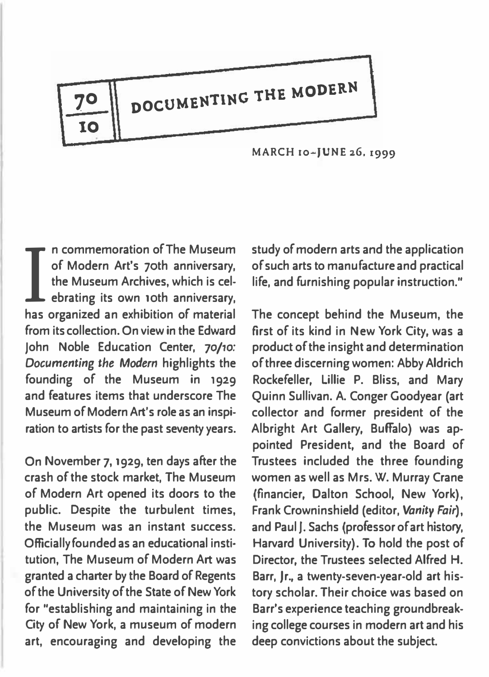

MARCH to-JUNE 26, 1999

I n commemoration of The Museum<br>of Modern Art's 70th anniversary,<br>the Museum Archives, which is cel-<br>ebrating its own 10th anniversary. of Modern Art's 7oth anniversary, the Museum Archives, which is celebrating its own 10th anniversary, has organized an exhibition of material from its collection. On view in the Edward John Noble Education Center, 70/10: Documenting the Modern highlights the founding of the Museum in i929 and features items that underscore The Museum of Modern Art's role as an inspiration to artists for the past seventy years.

On November 7, 1929, ten days after the crash of the stock market, The Museum of Modern Art opened its doors to the public. Despite the turbulent times, the Museum was an instant success. Officially founded as an educational institution, The Museum of Modern Art was granted a charter by the Board of Regents of the University of the State of New York for "establishing and maintaining in the City of New York, a museum of modern art, encouraging and developing the study of modern arts and the application of such arts to manufacture and practical life, and furnishing popular instruction."

I

The concept behind the Museum, the first of its kind in New York City, was a product of the insight and determination of three discerning women: Abby Aldrich Rockefeller, Lillie P. Bliss, and Mary Quinn Sullivan. A. Conger Goodyear (art collector and former president of the Albright Art Gallery, Buffalo) was appointed President, and the Board of Trustees included the three founding women as well as Mrs. W. Murray Crane (financier, Dalton School, New York), Frank Crowninshield (editor, Vanity Fair), and Paul J. Sachs (professor of art history, Harvard University). To hold the post of Director, the Trustees selected Alfred H. Barr, Jr., a twenty-seven-year-old art history scholar. Their choice was based on Barr's experience teaching groundbreaking college courses in modern art and his deep convictions about the subject.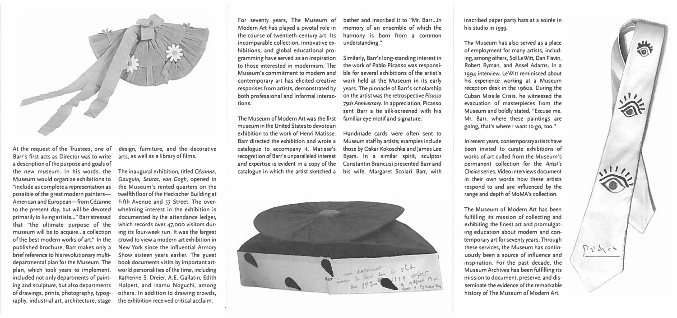

At the request of the Trustees, one of Barr's first acts as Director was to write a description of the purpose and goals of the new museum. In his words, the Museum would organize exhibitions to "include as complete a representation as possible of the great modern painters-American and European-from Cézanne to the present day, but will be devoted primarily to living artists..." Barr stressed that "the ultimate purpose of the museum will be to acquire...a collection of the best modern works of art." In the published brochure, Barr makes only a brief reference to his revolutionary multi· departmental plan for the Museum. The plan, which took years to implement, included not only departments of paint· ing and sculpture, but also departments of drawings, prints, photography, typog· raphy, industrial art, architecture, stage

design, furniture, and the decorative arts, as well as a library of films.

The inaugural exhibition, titled Cézanne, Gauguin, Seurat, van Gogh, opened in the Museum's rented quarters on the twelfth floor of the Heckscher Building at Fifth Avenue and 57 Street. The over· whelming interest in the exhibition is documented by the attendance ledger, which records over 47,000 visitors dur· ing its four-week run. It was the largest crowd to view a modern art exhibition in New York since the influential Armory Show sixteen years earlier. The guest book documents visits by important art· world personalities of the time, including Katherine S. Dreier, A.E. Gallatin, Edith Halpert, and lsamu Noguchi, among others. In addition to drawing crowds, the exhibition received critical acclaim.

For seventy years, The Museum of Modern Art has played a pivotal role in the course of twentieth-century art. Its incomparable collection, innovative ex· hibitions, and global educational programming have served as an inspiration to those interested in modernism. The Museum's commitment to modern and contemporary art has elicited creative responses from artists, demonstrated by both professional and informal interac· tions.

The Museum of Modern Art was the first museum in the United States to devote an exhibition to the work of Henri Matisse. Barr directed the exhibition and wrote a catalogue to accompany it. Matisse's recognition of Barr's unparalleled interest and expertise is evident in a copy of the catalogue in which the artist sketched a

bather and inscribed it to "Mr. Barr...in memory of an ensemble of which the harmony is born from a common understanding."

Similarly, Barr's long-standing interest in the work of Pablo Picasso was responsi· ble for several exhibitions of the artist's work held at the Museum in its early years. The pinnacle of Barr's scholarship on the artist was the retrospective Picasso 75th Anniversary. In appreciation, Picasso sent Barr a tie silk-screened with his familiar eye motif and signature.

Handmade cards were often sent to Museum staff by artists; examples include those by Oskar Kokoschka and James lee Byars. In a similar spirit, sculptor Constantin Brancusi presented Barr and his wife, Margaret Scolari Barr, with



inscribed paper party hats at a soirée in his studio in 1939.

The Museum has also served as a place of employment for many artists, including, among others, Sol LeWitt, Dan Flavin, Robert Ryman, and Ansel Adams. In a 1994 interview, leWitt reminisced about his experience working at a Museum reception desk in the 1960s. During the Cuban Missile Crisis, he witnessed the evacuation of masterpieces from the Museum and boldly stated, "Excuse me, Mr. Barr, where these paintings are going, that's where I want to go, too."

In recent years, contemporary artists have been invited to curate exhibitions of works of art culled from the Museum's permanent collection for the Artist's Choice series. Video interviews document in their own words how these artists respond to and are influenced by the range and depth of MoMA's collection.

The Museum of Modern Art has been fulfilling its mission of collecting and exhibiting the finest art and promulgat· ing education about modern and con· temporary art for seventy years. Through these services, the Museum has contin· uously been a source of influence and inspiration. For the past decade, the Museum Archives has been fulfilling its mission to document, preserve, and dis· seminate the evidence of the remarkable history ofThe Museum of Modern Art.